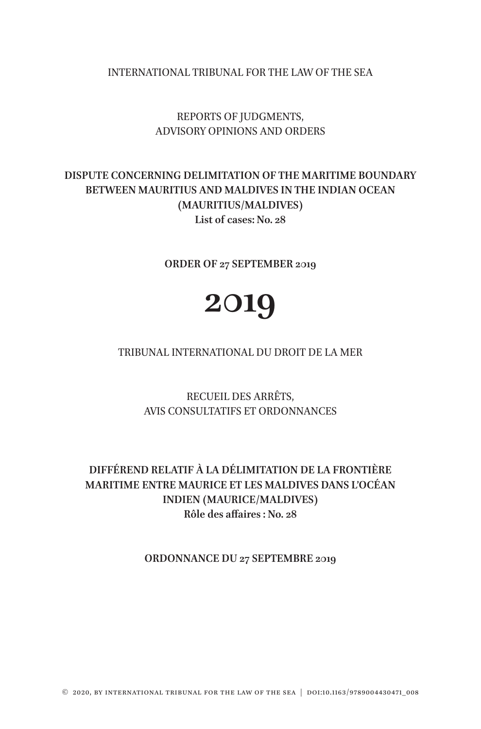INTERNATIONAL TRIBUNAL FOR THE LAW OF THE SEA

## REPORTS OF JUDGMENTS, ADVISORY OPINIONS AND ORDERS

# **DISPUTE CONCERNING DELIMITATION OF THE MARITIME BOUNDARY BETWEEN MAURITIUS AND MALDIVES IN THE INDIAN OCEAN (MAURITIUS/MALDIVES) List of cases: No. 28**

**ORDER OF 27 SEPTEMBER 2019**

# **2019**

TRIBUNAL INTERNATIONAL DU DROIT DE LA MER

RECUEIL DES ARRÊTS, AVIS CONSULTATIFS ET ORDONNANCES

# **DIFFÉREND RELATIF À LA DÉLIMITATION DE LA FRONTIÈRE MARITIME ENTRE MAURICE ET LES MALDIVES DANS L'OCÉAN INDIEN (MAURICE/MALDIVES) Rôle des affaires : No. 28**

**ORDONNANCE DU 27 SEPTEMBRE 2019**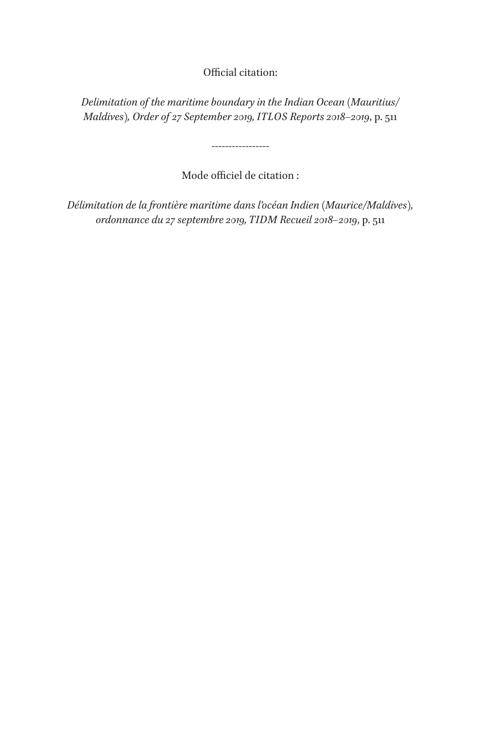Official citation:

*Delimitation of the maritime boundary in the Indian Ocean (Mauritius/ Maldives), Order of 27 September 2019, ITLOS Reports 2018–2019*, p. 511

Mode officiel de citation :

-----------------

*Délimitation de la frontière maritime dans l'océan Indien (Maurice/Maldives), ordonnance du 27 septembre 2019, TIDM Recueil 2018–2019*, p. 511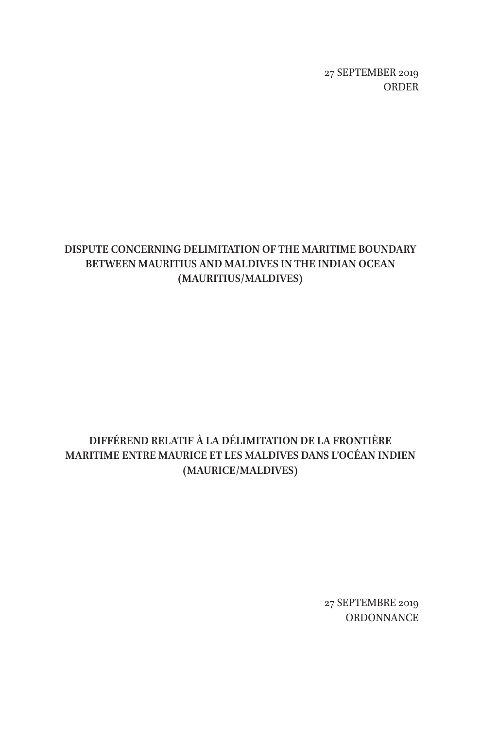27 SEPTEMBER 2019 ORDER

# **DISPUTE CONCERNING DELIMITATION OF THE MARITIME BOUNDARY BETWEEN MAURITIUS AND MALDIVES IN THE INDIAN OCEAN (MAURITIUS/MALDIVES)**

# **DIFFÉREND RELATIF À LA DÉLIMITATION DE LA FRONTIÈRE MARITIME ENTRE MAURICE ET LES MALDIVES DANS L'OCÉAN INDIEN (MAURICE/MALDIVES)**

27 SEPTEMBRE 2019 **ORDONNANCE**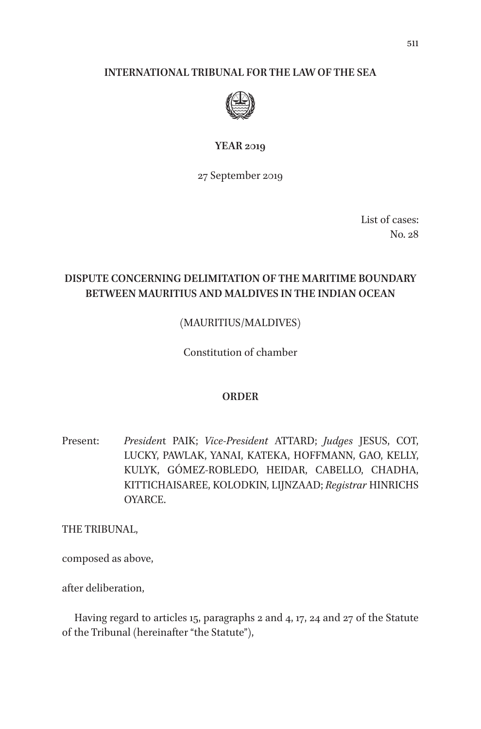#### **INTERNATIONAL TRIBUNAL FOR THE LAW OF THE SEA**



#### **YEAR 2019**

27 September 2019

List of cases: No. 28

## **DISPUTE CONCERNING DELIMITATION OF THE MARITIME BOUNDARY BETWEEN MAURITIUS AND MALDIVES IN THE INDIAN OCEAN**

## (MAURITIUS/MALDIVES)

Constitution of chamber

#### **ORDER**

Present: *Presiden*t PAIK; *Vice-President* ATTARD; *Judges* JESUS, COT, LUCKY, PAWLAK, YANAI, KATEKA, HOFFMANN, GAO, KELLY, KULYK, GÓMEZ-ROBLEDO, HEIDAR, CABELLO, CHADHA, KITTICHAISAREE, KOLODKIN, LIJNZAAD; *Registrar* HINRICHS OYARCE.

THE TRIBUNAL,

composed as above,

after deliberation,

Having regard to articles 15, paragraphs 2 and 4, 17, 24 and 27 of the Statute of the Tribunal (hereinafter "the Statute"),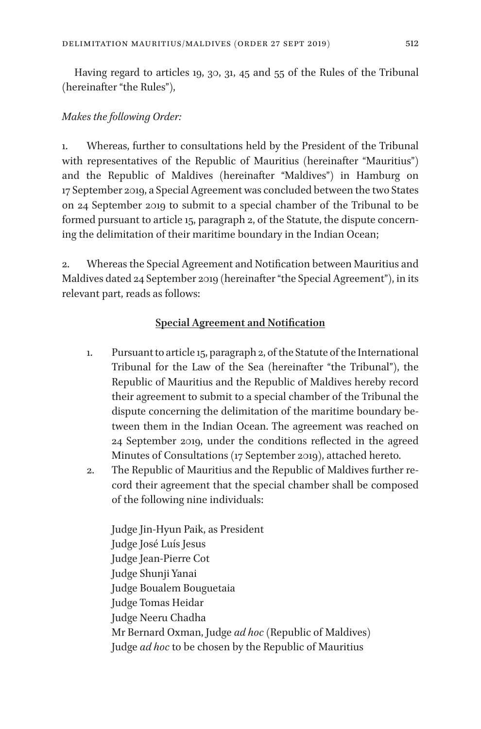Having regard to articles 19, 30, 31, 45 and 55 of the Rules of the Tribunal (hereinafter "the Rules"),

#### *Makes the following Order:*

1. Whereas, further to consultations held by the President of the Tribunal with representatives of the Republic of Mauritius (hereinafter "Mauritius") and the Republic of Maldives (hereinafter "Maldives") in Hamburg on 17 September 2019, a Special Agreement was concluded between the two States on 24 September 2019 to submit to a special chamber of the Tribunal to be formed pursuant to article 15, paragraph 2, of the Statute, the dispute concerning the delimitation of their maritime boundary in the Indian Ocean;

2. Whereas the Special Agreement and Notification between Mauritius and Maldives dated 24 September 2019 (hereinafter "the Special Agreement"), in its relevant part, reads as follows:

#### **Special Agreement and Notification**

- 1. Pursuant to article 15, paragraph 2, of the Statute of the International Tribunal for the Law of the Sea (hereinafter "the Tribunal"), the Republic of Mauritius and the Republic of Maldives hereby record their agreement to submit to a special chamber of the Tribunal the dispute concerning the delimitation of the maritime boundary between them in the Indian Ocean. The agreement was reached on 24 September 2019, under the conditions reflected in the agreed Minutes of Consultations (17 September 2019), attached hereto.
- 2. The Republic of Mauritius and the Republic of Maldives further record their agreement that the special chamber shall be composed of the following nine individuals:

Judge Jin-Hyun Paik, as President Judge José Luís Jesus Judge Jean-Pierre Cot Judge Shunji Yanai Judge Boualem Bouguetaia Judge Tomas Heidar Judge Neeru Chadha Mr Bernard Oxman, Judge *ad hoc* (Republic of Maldives) Judge *ad hoc* to be chosen by the Republic of Mauritius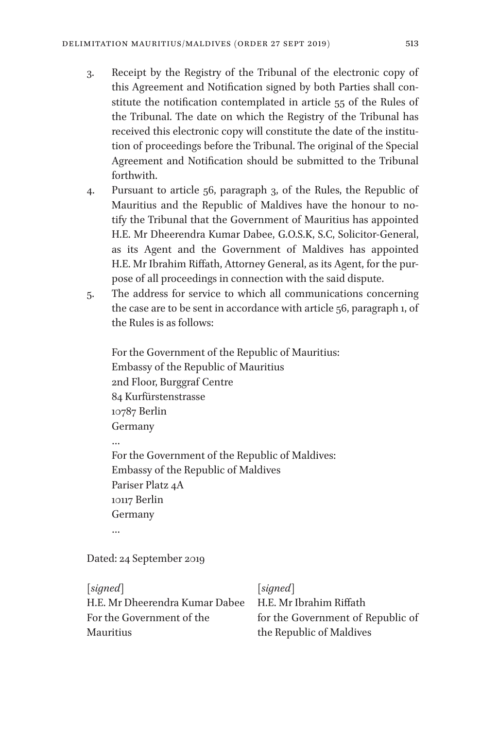- 3. Receipt by the Registry of the Tribunal of the electronic copy of this Agreement and Notification signed by both Parties shall constitute the notification contemplated in article 55 of the Rules of the Tribunal. The date on which the Registry of the Tribunal has received this electronic copy will constitute the date of the institution of proceedings before the Tribunal. The original of the Special Agreement and Notification should be submitted to the Tribunal forthwith.
- 4. Pursuant to article 56, paragraph 3, of the Rules, the Republic of Mauritius and the Republic of Maldives have the honour to notify the Tribunal that the Government of Mauritius has appointed H.E. Mr Dheerendra Kumar Dabee, G.O.S.K, S.C, Solicitor-General, as its Agent and the Government of Maldives has appointed H.E. Mr Ibrahim Riffath, Attorney General, as its Agent, for the purpose of all proceedings in connection with the said dispute.
- 5. The address for service to which all communications concerning the case are to be sent in accordance with article 56, paragraph 1, of the Rules is as follows:

```
For the Government of the Republic of Mauritius:
Embassy of the Republic of Mauritius
2nd Floor, Burggraf Centre
84 Kurfürstenstrasse
10787 Berlin
Germany
…
For the Government of the Republic of Maldives:
Embassy of the Republic of Maldives
Pariser Platz 4A
10117 Berlin
Germany
…
```
Dated: 24 September 2019

| [signed]                       | signed                            |
|--------------------------------|-----------------------------------|
| H.E. Mr Dheerendra Kumar Dabee | H.E. Mr Ibrahim Riffath           |
| For the Government of the      | for the Government of Republic of |
| Mauritius                      | the Republic of Maldives          |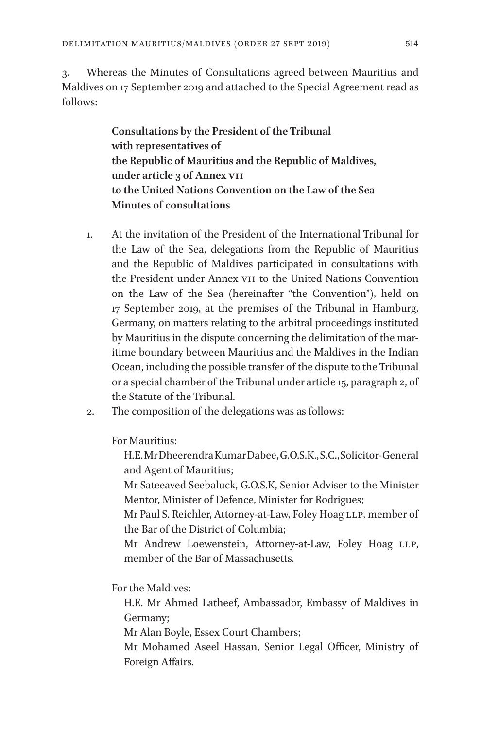3. Whereas the Minutes of Consultations agreed between Mauritius and Maldives on 17 September 2019 and attached to the Special Agreement read as follows:

> **Consultations by the President of the Tribunal with representatives of the Republic of Mauritius and the Republic of Maldives, under article 3 of Annex VII to the United Nations Convention on the Law of the Sea Minutes of consultations**

- 1. At the invitation of the President of the International Tribunal for the Law of the Sea, delegations from the Republic of Mauritius and the Republic of Maldives participated in consultations with the President under Annex VII to the United Nations Convention on the Law of the Sea (hereinafter "the Convention"), held on 17 September 2019, at the premises of the Tribunal in Hamburg, Germany, on matters relating to the arbitral proceedings instituted by Mauritius in the dispute concerning the delimitation of the maritime boundary between Mauritius and the Maldives in the Indian Ocean, including the possible transfer of the dispute to the Tribunal or a special chamber of the Tribunal under article 15, paragraph 2, of the Statute of the Tribunal.
- 2. The composition of the delegations was as follows:

For Mauritius:

H.E. Mr Dheerendra Kumar Dabee, G.O.S.K., S.C., Solicitor-General and Agent of Mauritius;

Mr Sateeaved Seebaluck, G.O.S.K, Senior Adviser to the Minister Mentor, Minister of Defence, Minister for Rodrigues;

Mr Paul S. Reichler, Attorney-at-Law, Foley Hoag LLP, member of the Bar of the District of Columbia;

Mr Andrew Loewenstein, Attorney-at-Law, Foley Hoag LLP, member of the Bar of Massachusetts.

For the Maldives:

H.E. Mr Ahmed Latheef, Ambassador, Embassy of Maldives in Germany;

Mr Alan Boyle, Essex Court Chambers;

Mr Mohamed Aseel Hassan, Senior Legal Officer, Ministry of Foreign Affairs.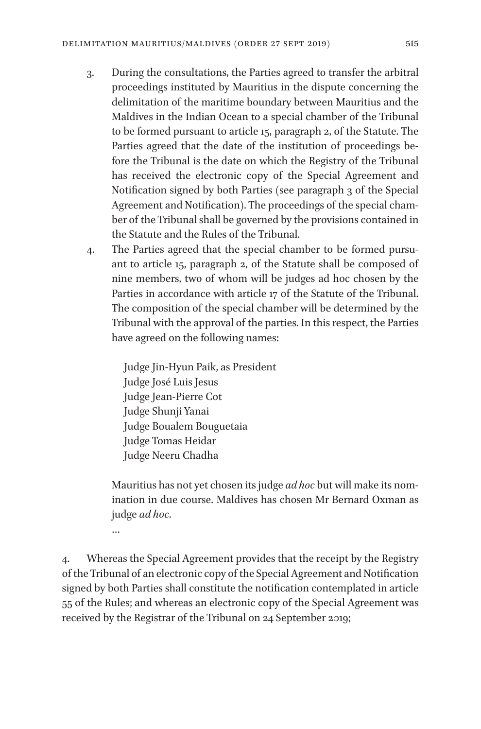- 3. During the consultations, the Parties agreed to transfer the arbitral proceedings instituted by Mauritius in the dispute concerning the delimitation of the maritime boundary between Mauritius and the Maldives in the Indian Ocean to a special chamber of the Tribunal to be formed pursuant to article 15, paragraph 2, of the Statute. The Parties agreed that the date of the institution of proceedings before the Tribunal is the date on which the Registry of the Tribunal has received the electronic copy of the Special Agreement and Notification signed by both Parties (see paragraph 3 of the Special Agreement and Notification). The proceedings of the special chamber of the Tribunal shall be governed by the provisions contained in the Statute and the Rules of the Tribunal.
- 4. The Parties agreed that the special chamber to be formed pursuant to article 15, paragraph 2, of the Statute shall be composed of nine members, two of whom will be judges ad hoc chosen by the Parties in accordance with article 17 of the Statute of the Tribunal. The composition of the special chamber will be determined by the Tribunal with the approval of the parties. In this respect, the Parties have agreed on the following names:

Judge Jin-Hyun Paik, as President Judge José Luis Jesus Judge Jean-Pierre Cot Judge Shunji Yanai Judge Boualem Bouguetaia Judge Tomas Heidar Judge Neeru Chadha

Mauritius has not yet chosen its judge *ad hoc* but will make its nomination in due course. Maldives has chosen Mr Bernard Oxman as judge *ad hoc*.

…

4. Whereas the Special Agreement provides that the receipt by the Registry of the Tribunal of an electronic copy of the Special Agreement and Notification signed by both Parties shall constitute the notification contemplated in article 55 of the Rules; and whereas an electronic copy of the Special Agreement was received by the Registrar of the Tribunal on 24 September 2019;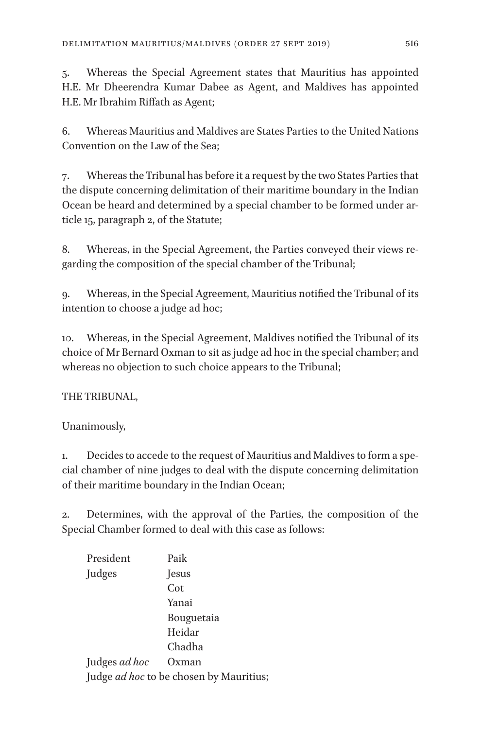5. Whereas the Special Agreement states that Mauritius has appointed H.E. Mr Dheerendra Kumar Dabee as Agent, and Maldives has appointed H.E. Mr Ibrahim Riffath as Agent;

6. Whereas Mauritius and Maldives are States Parties to the United Nations Convention on the Law of the Sea;

7. Whereas the Tribunal has before it a request by the two States Parties that the dispute concerning delimitation of their maritime boundary in the Indian Ocean be heard and determined by a special chamber to be formed under article 15, paragraph 2, of the Statute;

8. Whereas, in the Special Agreement, the Parties conveyed their views regarding the composition of the special chamber of the Tribunal;

9. Whereas, in the Special Agreement, Mauritius notified the Tribunal of its intention to choose a judge ad hoc;

10. Whereas, in the Special Agreement, Maldives notified the Tribunal of its choice of Mr Bernard Oxman to sit as judge ad hoc in the special chamber; and whereas no objection to such choice appears to the Tribunal;

## THE TRIBUNAL,

Unanimously,

1. Decides to accede to the request of Mauritius and Maldives to form a special chamber of nine judges to deal with the dispute concerning delimitation of their maritime boundary in the Indian Ocean;

2. Determines, with the approval of the Parties, the composition of the Special Chamber formed to deal with this case as follows:

| President                               | Paik         |
|-----------------------------------------|--------------|
| Judges                                  | <b>Jesus</b> |
|                                         | Cot          |
|                                         | Yanai        |
|                                         | Bouguetaia   |
|                                         | Heidar       |
|                                         | Chadha       |
| Judges ad hoc                           | Oxman        |
| Judge ad hoc to be chosen by Mauritius; |              |